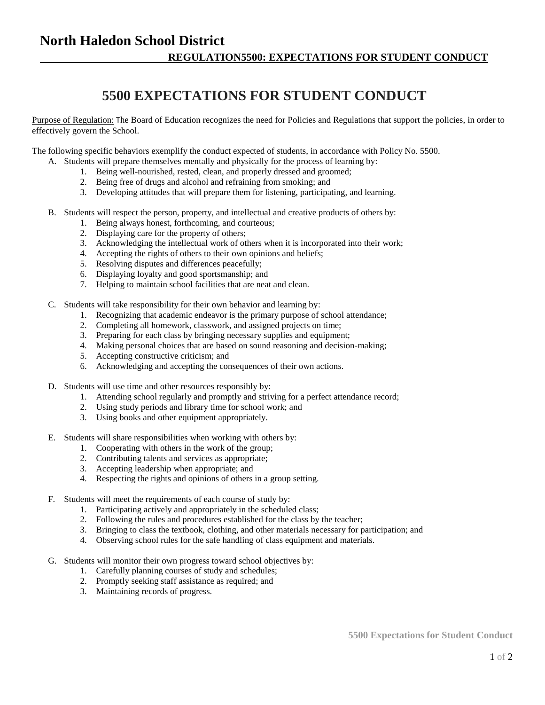## **North Haledon School District REGULATION5500: EXPECTATIONS FOR STUDENT CONDUCT**

## **5500 EXPECTATIONS FOR STUDENT CONDUCT**

Purpose of Regulation: The Board of Education recognizes the need for Policies and Regulations that support the policies, in order to effectively govern the School.

The following specific behaviors exemplify the conduct expected of students, in accordance with Policy No. 5500.

- A. Students will prepare themselves mentally and physically for the process of learning by:
	- 1. Being well-nourished, rested, clean, and properly dressed and groomed;
	- 2. Being free of drugs and alcohol and refraining from smoking; and
	- 3. Developing attitudes that will prepare them for listening, participating, and learning.
- B. Students will respect the person, property, and intellectual and creative products of others by:
	- 1. Being always honest, forthcoming, and courteous;
	- 2. Displaying care for the property of others;
	- 3. Acknowledging the intellectual work of others when it is incorporated into their work;
	- 4. Accepting the rights of others to their own opinions and beliefs;
	- 5. Resolving disputes and differences peacefully;
	- 6. Displaying loyalty and good sportsmanship; and
	- 7. Helping to maintain school facilities that are neat and clean.
- C. Students will take responsibility for their own behavior and learning by:
	- 1. Recognizing that academic endeavor is the primary purpose of school attendance;
	- 2. Completing all homework, classwork, and assigned projects on time;
	- 3. Preparing for each class by bringing necessary supplies and equipment;
	- 4. Making personal choices that are based on sound reasoning and decision-making;
	- 5. Accepting constructive criticism; and
	- 6. Acknowledging and accepting the consequences of their own actions.
- D. Students will use time and other resources responsibly by:
	- 1. Attending school regularly and promptly and striving for a perfect attendance record;
	- 2. Using study periods and library time for school work; and
	- 3. Using books and other equipment appropriately.
- E. Students will share responsibilities when working with others by:
	- 1. Cooperating with others in the work of the group;
	- 2. Contributing talents and services as appropriate;
	- 3. Accepting leadership when appropriate; and
	- 4. Respecting the rights and opinions of others in a group setting.
- F. Students will meet the requirements of each course of study by:
	- 1. Participating actively and appropriately in the scheduled class;
	- 2. Following the rules and procedures established for the class by the teacher;
	- 3. Bringing to class the textbook, clothing, and other materials necessary for participation; and
	- 4. Observing school rules for the safe handling of class equipment and materials.
- G. Students will monitor their own progress toward school objectives by:
	- 1. Carefully planning courses of study and schedules;
	- 2. Promptly seeking staff assistance as required; and
	- 3. Maintaining records of progress.

**5500 Expectations for Student Conduct**